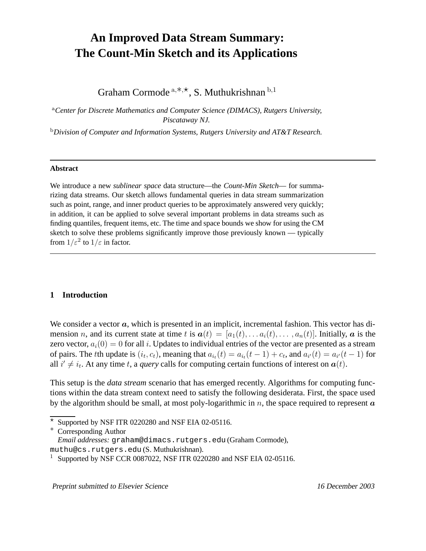# **An Improved Data Stream Summary: The Count-Min Sketch and its Applications**

Graham Cormode  $a,*,\star$ , S. Muthukrishnan  $b,1$ 

<sup>a</sup>*Center for Discrete Mathematics and Computer Science (DIMACS), Rutgers University, Piscataway NJ.*

<sup>b</sup>*Division of Computer and Information Systems, Rutgers University and AT&T Research.*

#### **Abstract**

We introduce a new *sublinear space* data structure—the *Count-Min Sketch*— for summarizing data streams. Our sketch allows fundamental queries in data stream summarization such as point, range, and inner product queries to be approximately answered very quickly; in addition, it can be applied to solve several important problems in data streams such as finding quantiles, frequent items, etc. The time and space bounds we show for using the CM sketch to solve these problems significantly improve those previously known — typically from  $1/\varepsilon^2$  to  $1/\varepsilon$  in factor.

#### **1 Introduction**

We consider a vector  $a$ , which is presented in an implicit, incremental fashion. This vector has dimension n, and its current state at time t is  $a(t) = [a_1(t), \ldots, a_i(t), \ldots, a_n(t)]$ . Initially, a is the zero vector,  $a_i(0) = 0$  for all i. Updates to individual entries of the vector are presented as a stream of pairs. The tth update is  $(i_t, c_t)$ , meaning that  $a_{i_t}(t) = a_{i_t}(t-1) + c_t$ , and  $a_{i'}(t) = a_{i'}(t-1)$  for all  $i' \neq i_t$ . At any time t, a *query* calls for computing certain functions of interest on  $a(t)$ .

This setup is the *data stream* scenario that has emerged recently. Algorithms for computing functions within the data stream context need to satisfy the following desiderata. First, the space used by the algorithm should be small, at most poly-logarithmic in  $n$ , the space required to represent  $\alpha$ 

Preprint submitted to Elsevier Science 16 December 2003

 $*$  Supported by NSF ITR 0220280 and NSF EIA 02-05116.

<sup>∗</sup> Corresponding Author

*Email addresses:* graham@dimacs.rutgers.edu (Graham Cormode),

muthu@cs.rutgers.edu (S. Muthukrishnan).

 $1$  Supported by NSF CCR 0087022, NSF ITR 0220280 and NSF EIA 02-05116.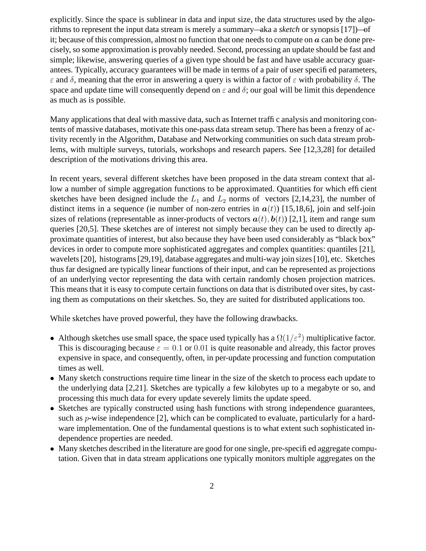explicitly. Since the space is sublinear in data and input size, the data structures used by the algorithms to represent the input data stream is merely a summary—aka a *sketch* or synopsis [17])—of it; because of this compression, almost no function that one needs to compute on  $\alpha$  can be done precisely, so some approximation is provably needed. Second, processing an update should be fast and simple; likewise, answering queries of a given type should be fast and have usable accuracy guarantees. Typically, accuracy guarantees will be made in terms of a pair of user specified parameters, ε and δ, meaning that the error in answering a query is within a factor of ε with probability δ. The space and update time will consequently depend on  $\varepsilon$  and  $\delta$ ; our goal will be limit this dependence as much as is possible.

Many applications that deal with massive data, such as Internet traffic analysis and monitoring contents of massive databases, motivate this one-pass data stream setup. There has been a frenzy of activity recently in the Algorithm, Database and Networking communities on such data stream problems, with multiple surveys, tutorials, workshops and research papers. See [12,3,28] for detailed description of the motivations driving this area.

In recent years, several different sketches have been proposed in the data stream context that allow a number of simple aggregation functions to be approximated. Quantities for which efficient sketches have been designed include the  $L_1$  and  $L_2$  norms of vectors [2,14,23], the number of distinct items in a sequence (ie number of non-zero entries in  $a(t)$ ) [15,18,6], join and self-join sizes of relations (representable as inner-products of vectors  $a(t)$ ,  $b(t)$ ) [2,1], item and range sum queries [20,5]. These sketches are of interest not simply because they can be used to directly approximate quantities of interest, but also because they have been used considerably as "black box" devices in order to compute more sophisticated aggregates and complex quantities: quantiles [21], wavelets[20], histograms[29,19], database aggregates and multi-way join sizes[10], etc. Sketches thus far designed are typically linear functions of their input, and can be represented as projections of an underlying vector representing the data with certain randomly chosen projection matrices. This means that it is easy to compute certain functions on data that is distributed over sites, by casting them as computations on their sketches. So, they are suited for distributed applications too.

While sketches have proved powerful, they have the following drawbacks.

- Although sketches use small space, the space used typically has a  $\Omega(1/\varepsilon^2)$  multiplicative factor. This is discouraging because  $\varepsilon = 0.1$  or 0.01 is quite reasonable and already, this factor proves expensive in space, and consequently, often, in per-update processing and function computation times as well.
- Many sketch constructions require time linear in the size of the sketch to process each update to the underlying data [2,21]. Sketches are typically a few kilobytes up to a megabyte or so, and processing this much data for every update severely limits the update speed.
- Sketches are typically constructed using hash functions with strong independence guarantees, such as  $p$ -wise independence [2], which can be complicated to evaluate, particularly for a hardware implementation. One of the fundamental questions is to what extent such sophisticated independence properties are needed.
- Many sketches described in the literature are good for one single, pre-specified aggregate computation. Given that in data stream applications one typically monitors multiple aggregates on the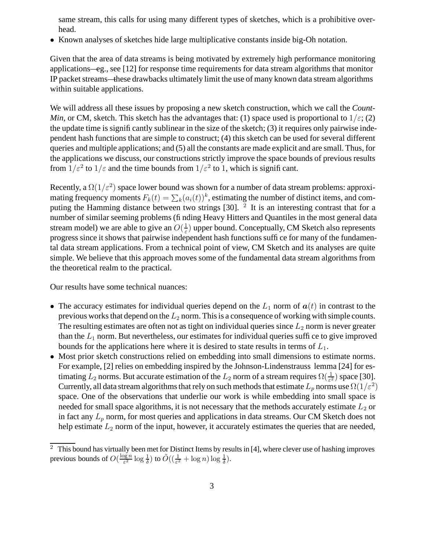same stream, this calls for using many different types of sketches, which is a prohibitive overhead.

• Known analyses of sketches hide large multiplicative constants inside big-Oh notation.

Given that the area of data streams is being motivated by extremely high performance monitoring applications—eg., see [12] for response time requirements for data stream algorithms that monitor IP packet streams—these drawbacks ultimately limit the use of many known data stream algorithms within suitable applications.

We will address all these issues by proposing a new sketch construction, which we call the *Count-Min*, or CM, sketch. This sketch has the advantages that: (1) space used is proportional to  $1/\varepsilon$ ; (2) the update time is significantly sublinear in the size of the sketch;  $(3)$  it requires only pairwise independent hash functions that are simple to construct; (4) this sketch can be used for several different queries and multiple applications; and (5) all the constants are made explicit and are small. Thus, for the applications we discuss, our constructions strictly improve the space bounds of previous results from  $1/\varepsilon^2$  to  $1/\varepsilon$  and the time bounds from  $1/\varepsilon^2$  to 1, which is significant.

Recently, a  $\Omega(1/\varepsilon^2)$  space lower bound was shown for a number of data stream problems: approximating frequency moments  $F_k(t) = \sum_k (a_i(t))^k$ , estimating the number of distinct items, and computing the Hamming distance between two strings  $[30]$ . <sup>2</sup> It is an interesting contrast that for a number of similar seeming problems (finding Heavy Hitters and Quantiles in the most general data stream model) we are able to give an  $O(\frac{1}{\epsilon})$  $\frac{1}{\varepsilon}$ ) upper bound. Conceptually, CM Sketch also represents progress since it shows that pairwise independent hash functions suffice for many of the fundamental data stream applications. From a technical point of view, CM Sketch and its analyses are quite simple. We believe that this approach moves some of the fundamental data stream algorithms from the theoretical realm to the practical.

Our results have some technical nuances:

- The accuracy estimates for individual queries depend on the  $L_1$  norm of  $a(t)$  in contrast to the previous works that depend on the  $L_2$  norm. This is a consequence of working with simple counts. The resulting estimates are often not as tight on individual queries since  $L_2$  norm is never greater than the  $L_1$  norm. But nevertheless, our estimates for individual queries suffice to give improved bounds for the applications here where it is desired to state results in terms of  $L_1$ .
- Most prior sketch constructions relied on embedding into small dimensions to estimate norms. For example, [2] relies on embedding inspired by the Johnson-Lindenstrauss lemma [24] for estimating  $L_2$  norms. But accurate estimation of the  $L_2$  norm of a stream requires  $\Omega(\frac{1}{\varepsilon^2})$  space [30]. Currently, all data stream algorithms that rely on such methods that estimate  $L_p$  norms use  $\Omega(1/\varepsilon^2)$ space. One of the observations that underlie our work is while embedding into small space is needed for small space algorithms, it is not necessary that the methods accurately estimate  $L_2$  or in fact any  $L_p$  norm, for most queries and applications in data streams. Our CM Sketch does not help estimate  $L_2$  norm of the input, however, it accurately estimates the queries that are needed,

 $\overline{2}$  This bound has virtually been met for Distinct Items by results in [4], where clever use of hashing improves previous bounds of  $O(\frac{\log n}{\epsilon^2})$  $\frac{\log n}{\varepsilon^2}\log\frac{1}{\delta}$ ) to  $\tilde{O}((\frac{1}{\varepsilon^2} + \log n)\log\frac{1}{\delta}).$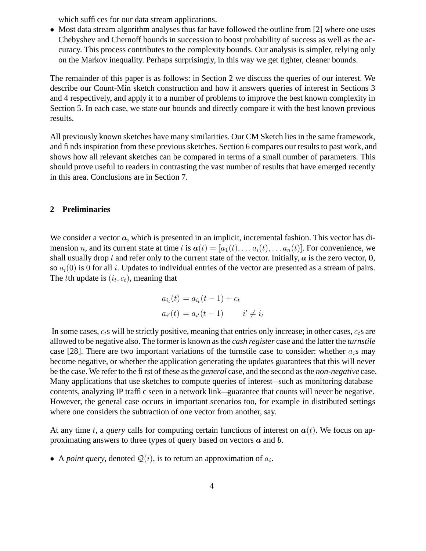which suffices for our data stream applications.

• Most data stream algorithm analyses thus far have followed the outline from [2] where one uses Chebyshev and Chernoff bounds in succession to boost probability of success as well as the accuracy. This process contributes to the complexity bounds. Our analysis is simpler, relying only on the Markov inequality. Perhaps surprisingly, in this way we get tighter, cleaner bounds.

The remainder of this paper is as follows: in Section 2 we discuss the queries of our interest. We describe our Count-Min sketch construction and how it answers queries of interest in Sections 3 and 4 respectively, and apply it to a number of problems to improve the best known complexity in Section 5. In each case, we state our bounds and directly compare it with the best known previous results.

All previously known sketches have many similarities. Our CM Sketch lies in the same framework, and finds inspiration from these previous sketches. Section 6 compares our results to past work, and shows how all relevant sketches can be compared in terms of a small number of parameters. This should prove useful to readers in contrasting the vast number of results that have emerged recently in this area. Conclusions are in Section 7.

# **2 Preliminaries**

We consider a vector  $a$ , which is presented in an implicit, incremental fashion. This vector has dimension n, and its current state at time t is  $a(t) = [a_1(t), \ldots a_i(t), \ldots a_n(t)]$ . For convenience, we shall usually drop t and refer only to the current state of the vector. Initially,  $\alpha$  is the zero vector, 0, so  $a_i(0)$  is 0 for all i. Updates to individual entries of the vector are presented as a stream of pairs. The *t*th update is  $(i_t, c_t)$ , meaning that

$$
a_{i_t}(t) = a_{i_t}(t-1) + c_t
$$
  

$$
a_{i'}(t) = a_{i'}(t-1) \qquad i' \neq i_t
$$

In some cases,  $c<sub>t</sub>$ s will be strictly positive, meaning that entries only increase; in other cases,  $c<sub>t</sub>$ s are allowed to be negative also. The former is known asthe *cash register* case and the latter the *turnstile* case [28]. There are two important variations of the turnstile case to consider: whether  $a_i$ s may become negative, or whether the application generating the updates guarantees that this will never be the case. We refer to the first of these asthe *general* case, and the second asthe *non-negative* case. Many applications that use sketches to compute queries of interest—such as monitoring database contents, analyzing IP traffic seen in a network link—guarantee that counts will never be negative. However, the general case occurs in important scenarios too, for example in distributed settings where one considers the subtraction of one vector from another, say.

At any time t, a *query* calls for computing certain functions of interest on  $a(t)$ . We focus on approximating answers to three types of query based on vectors  $\boldsymbol{a}$  and  $\boldsymbol{b}$ .

• A *point query*, denoted  $Q(i)$ , is to return an approximation of  $a_i$ .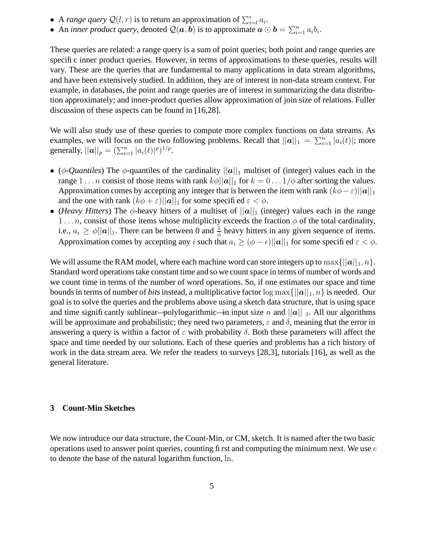- A *range query*  $Q(l, r)$  is to return an approximation of  $\sum_{i=l}^{r} a_i$ .
- An *inner product query*, denoted  $\mathcal{Q}(a, b)$  is to approximate  $a \odot b = \sum_{i=1}^n a_i b_i$ .

These queries are related: a range query is a sum of point queries; both point and range queries are specific inner product queries. However, in terms of approximations to these queries, results will vary. These are the queries that are fundamental to many applications in data stream algorithms, and have been extensively studied. In addition, they are of interest in non-data stream context. For example, in databases, the point and range queries are of interest in summarizing the data distribution approximately; and inner-product queries allow approximation of join size of relations. Fuller discussion of these aspects can be found in [16,28].

We will also study use of these queries to compute more complex functions on data streams. As examples, we will focus on the two following problems. Recall that  $||\mathbf{a}||_1 = \sum_{i=1}^n |a_i(t)|$ ; more generally,  $||a||_p = (\sum_{i=1}^n |a_i(t)|^p)^{1/p}$ .

- ( $\phi$ -*Quantiles*) The  $\phi$ -quantiles of the cardinality  $||\boldsymbol{a}||_1$  multiset of (integer) values each in the range  $1 \dots n$  consist of those items with rank  $k\phi ||\mathbf{a}||_1$  for  $k = 0 \dots 1/\phi$  after sorting the values. Approximation comes by accepting any integer that is between the item with rank  $(k\phi - \varepsilon)||\mathbf{a}||_1$ and the one with rank  $(k\phi + \varepsilon)||\mathbf{a}||_1$  for some specified  $\varepsilon < \phi$ .
- (*Heavy Hitters*) The  $\phi$ -heavy hitters of a multiset of  $||\mathbf{a}||_1$  (integer) values each in the range 1... *n*, consist of those items whose multiplicity exceeds the fraction  $\phi$  of the total cardinality, i.e.,  $a_i \geq \phi ||\mathbf{a}||_1$ . There can be between 0 and  $\frac{1}{\phi}$  heavy hitters in any given sequence of items. Approximation comes by accepting any i such that  $a_i \geq (\phi - \epsilon) ||a||_1$  for some specified  $\varepsilon < \phi$ .

We will assume the RAM model, where each machine word can store integers up to  $\max\{|a||_1, n\}$ . Standard word operationstake constant time and so we countspace in terms of number of words and we count time in terms of the number of word operations. So, if one estimates our space and time bounds in terms of number of *bits* instead, a multiplicative factor  $\log \max\{||\mathbf{a}||_1, n\}$  is needed. Our goal is to solve the queries and the problems above using a sketch data structure, that is using space and time significantly sublinear—polylogarithmic—in input size n and  $||a||_1$ . All our algorithms will be approximate and probabilistic; they need two parameters,  $\varepsilon$  and  $\delta$ , meaning that the error in answering a query is within a factor of  $\varepsilon$  with probability  $\delta$ . Both these parameters will affect the space and time needed by our solutions. Each of these queries and problems has a rich history of work in the data stream area. We refer the readers to surveys [28,3], tutorials [16], as well as the general literature.

#### **3 Count-Min Sketches**

We now introduce our data structure, the Count-Min, or CM, sketch. It is named after the two basic operations used to answer point queries, counting first and computing the minimum next. We use  $e$ to denote the base of the natural logarithm function, ln.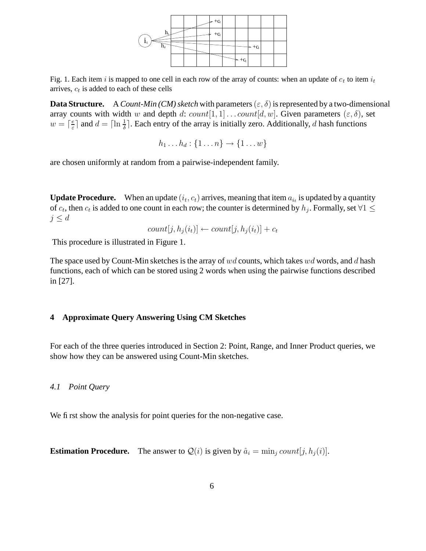

Fig. 1. Each item i is mapped to one cell in each row of the array of counts: when an update of  $c_t$  to item  $i_t$ arrives,  $c_t$  is added to each of these cells

**Data Structure.** A *Count-Min (CM) sketch* with parameters  $(\varepsilon, \delta)$  is represented by a two-dimensional array counts with width w and depth d:  $count[1, 1] \dots count[d, w]$ . Given parameters  $(\varepsilon, \delta)$ , set  $w = \lceil \frac{e}{\varepsilon} \rceil$  $\frac{e}{\varepsilon}$  and  $d = \lceil \ln \frac{1}{\delta} \rceil$ . Each entry of the array is initially zero. Additionally, d hash functions

$$
h_1 \dots h_d : \{1 \dots n\} \to \{1 \dots w\}
$$

are chosen uniformly at random from a pairwise-independent family.

**Update Procedure.** When an update  $(i_t, c_t)$  arrives, meaning that item  $a_{i_t}$  is updated by a quantity of  $c_t$ , then  $c_t$  is added to one count in each row; the counter is determined by  $h_j$ . Formally, set  $\forall 1 \leq$  $j \leq d$ 

$$
count[j, h_j(i_t)] \leftarrow count[j, h_j(i_t)] + c_t
$$

This procedure is illustrated in Figure 1.

The space used by Count-Min sketches is the array of  $wd$  counts, which takes  $wd$  words, and d hash functions, each of which can be stored using 2 words when using the pairwise functions described in [27].

# **4 Approximate Query Answering Using CM Sketches**

For each of the three queries introduced in Section 2: Point, Range, and Inner Product queries, we show how they can be answered using Count-Min sketches.

#### *4.1 Point Query*

We first show the analysis for point queries for the non-negative case.

**Estimation Procedure.** The answer to  $Q(i)$  is given by  $\hat{a}_i = \min_i count[j, h_i(i)]$ .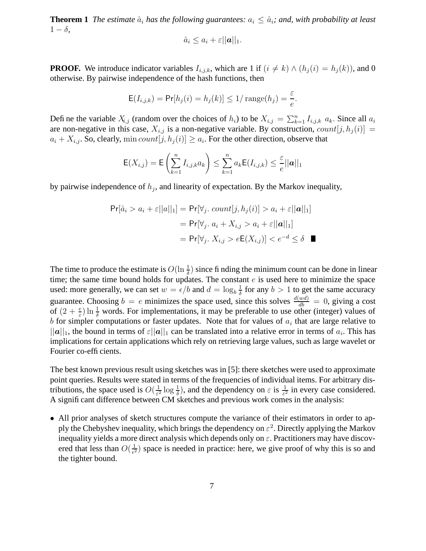**Theorem 1** *The estimate*  $\hat{a}_i$  *has the following guarantees:*  $a_i \leq \hat{a}_i$ *; and, with probability at least*  $1 - \delta$ ,

$$
\hat{a}_i \leq a_i + \varepsilon ||\mathbf{a}||_1.
$$

**PROOF.** We introduce indicator variables  $I_{i,j,k}$ , which are 1 if  $(i \neq k) \wedge (h_i(i) = h_i(k))$ , and 0 otherwise. By pairwise independence of the hash functions, then

$$
\mathsf{E}(I_{i,j,k}) = \Pr[h_j(i) = h_j(k)] \le 1/\operatorname{range}(h_j) = \frac{\varepsilon}{e}.
$$

Define the variable  $X_{i,j}$  (random over the choices of  $h_i$ ) to be  $X_{i,j} = \sum_{k=1}^n I_{i,j,k} a_k$ . Since all  $a_i$ are non-negative in this case,  $X_{i,j}$  is a non-negative variable. By construction,  $count[j, h_j(i)] =$  $a_i + X_{i,j}$ . So, clearly,  $\min count[j,h_j(i)] \ge a_i$ . For the other direction, observe that

$$
\mathsf{E}(X_{i,j}) = \mathsf{E}\left(\sum_{k=1}^n I_{i,j,k} a_k\right) \leq \sum_{k=1}^n a_k \mathsf{E}(I_{i,j,k}) \leq \frac{\varepsilon}{e} ||\mathbf{a}||_1
$$

by pairwise independence of  $h_j$ , and linearity of expectation. By the Markov inequality,

$$
Pr[\hat{a}_i > a_i + \varepsilon ||a||_1] = Pr[\forall_j. \ count[j, h_j(i)] > a_i + \varepsilon ||a||_1]
$$
  
= 
$$
Pr[\forall_j. a_i + X_{i,j} > a_i + \varepsilon ||a||_1]
$$
  
= 
$$
Pr[\forall_j. X_{i,j} > eE(X_{i,j})] < e^{-d} \le \delta
$$

The time to produce the estimate is  $O(\ln \frac{1}{\delta})$  since finding the minimum count can be done in linear time; the same time bound holds for updates. The constant  $e$  is used here to minimize the space used: more generally, we can set  $w = \epsilon/b$  and  $d = \log_b \frac{1}{\delta}$  $\frac{1}{\delta}$  for any  $b > 1$  to get the same accuracy guarantee. Choosing  $b = e$  minimizes the space used, since this solves  $\frac{d(wd)}{db} = 0$ , giving a cost of  $(2 + \frac{e}{\epsilon})$  $\frac{e}{\varepsilon}$ ) ln  $\frac{1}{\delta}$  words. For implementations, it may be preferable to use other (integer) values of b for simpler computations or faster updates. Note that for values of  $a_i$  that are large relative to  $||a||_1$ , the bound in terms of  $\varepsilon||a||_1$  can be translated into a relative error in terms of  $a_i$ . This has implications for certain applications which rely on retrieving large values, such as large wavelet or Fourier co-efficients.

The best known previous result using sketches was in [5]: there sketches were used to approximate point queries. Results were stated in terms of the frequencies of individual items. For arbitrary distributions, the space used is  $O(\frac{1}{\epsilon^2})$  $\frac{1}{\epsilon^2} \log \frac{1}{\delta}$ , and the dependency on  $\epsilon$  is  $\frac{1}{\epsilon^2}$  in every case considered. A significant difference between CM sketches and previous work comes in the analysis:

• All prior analyses of sketch structures compute the variance of their estimators in order to apply the Chebyshev inequality, which brings the dependency on  $\varepsilon^2$ . Directly applying the Markov inequality yields a more direct analysis which depends only on  $\varepsilon$ . Practitioners may have discovered that less than  $O(\frac{1}{\epsilon^2})$  $\frac{1}{\epsilon^2}$ ) space is needed in practice: here, we give proof of why this is so and the tighter bound.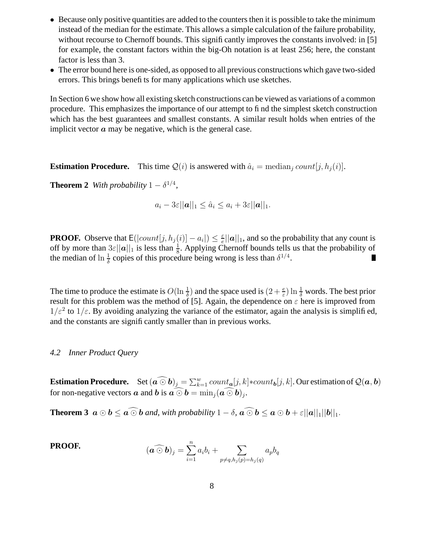- Because only positive quantities are added to the counters then it is possible to take the minimum instead of the median for the estimate. This allows a simple calculation of the failure probability, without recourse to Chernoff bounds. This significantly improves the constants involved: in [5] for example, the constant factors within the big-Oh notation is at least 256; here, the constant factor is less than 3.
- The error bound here is one-sided, as opposed to all previous constructions which gave two-sided errors. This brings benefits for many applications which use sketches.

In Section 6 we show how all existing sketch constructions can be viewed as variations of a common procedure. This emphasizes the importance of our attempt to find the simplest sketch construction which has the best guarantees and smallest constants. A similar result holds when entries of the implicit vector  $\alpha$  may be negative, which is the general case.

**Estimation Procedure.** This time  $Q(i)$  is answered with  $\hat{a}_i$  = median<sub>j</sub> count  $[j, h_j(i)]$ .

**Theorem 2** *With probability*  $1 - \delta^{1/4}$ *,* 

$$
a_i - 3\varepsilon ||\mathbf{a}||_1 \leq \hat{a}_i \leq a_i + 3\varepsilon ||\mathbf{a}||_1.
$$

**PROOF.** Observe that  $E(|count[j, h_j(i)] - a_i|) \leq \frac{\varepsilon}{e}$  $\frac{\varepsilon}{e} ||\boldsymbol{a}||_1$ , and so the probability that any count is off by more than  $3\varepsilon ||\mathbf{a}||_1$  is less than  $\frac{1}{8}$ . Applying Chernoff bounds tells us that the probability of the median of  $\ln \frac{1}{\delta}$  copies of this procedure being wrong is less than  $\delta^{1/4}$ . Ш

The time to produce the estimate is  $O(\ln \frac{1}{\delta})$  and the space used is  $(2 + \frac{e}{\varepsilon})$  $\frac{e}{\varepsilon}$ ) ln  $\frac{1}{\delta}$  words. The best prior result for this problem was the method of [5]. Again, the dependence on  $\varepsilon$  here is improved from  $1/\varepsilon^2$  to  $1/\varepsilon$ . By avoiding analyzing the variance of the estimator, again the analysis is simplified, and the constants are significantly smaller than in previous works.

#### *4.2 Inner Product Query*

**Estimation Procedure.** Set  $(\widehat{a \odot b})_j = \sum_{k=1}^w count_{\widehat{a}}[j,k] * count_{\widehat{b}}[j,k]$ . Our estimation of  $\mathcal{Q}(\mathbf{a},\mathbf{b})$ for non-negative vectors  $\boldsymbol{a}$  and  $\boldsymbol{b}$  is  $\boldsymbol{a} \odot \boldsymbol{b} = \min_j (\boldsymbol{a} \odot \boldsymbol{b})_j$ .

**Theorem 3**  $a \odot b \le a \odot b$  *and, with probability*  $1 - \delta$ ,  $a \odot b \le a \odot b + \varepsilon ||a||_1 ||b||_1$ .

**PROOF.** 
$$
(\widehat{\boldsymbol{a} \odot \boldsymbol{b}})_j = \sum_{i=1}^n a_i b_i + \sum_{p \neq q, h_j(p) = h_j(q)} a_p b_q
$$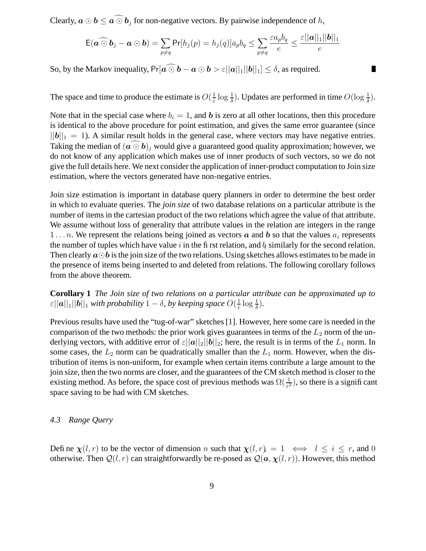Clearly,  $\mathbf{a} \odot \mathbf{b} \leq \widehat{\mathbf{a} \odot \mathbf{b}}_j$  for non-negative vectors. By pairwise independence of h,

$$
\mathsf{E}(\widehat{\boldsymbol{a}\odot\boldsymbol{b}}_j-\boldsymbol{a}\odot\boldsymbol{b})=\sum_{p\neq q}\Pr[h_j(p)=h_j(q)]a_pb_q\leq \sum_{p\neq q}\frac{\varepsilon a_pb_q}{e}\leq \frac{\varepsilon||\boldsymbol{a}||_1||\boldsymbol{b}||_1}{e}
$$

П

So, by the Markov inequality,  $Pr[a \widehat{\odot} b - a \odot b > \varepsilon ||a||_1 ||b||_1] \leq \delta$ , as required.

The space and time to produce the estimate is  $O(\frac{1}{\epsilon})$  $\frac{1}{\varepsilon} \log \frac{1}{\delta}$ ). Updates are performed in time  $O(\log \frac{1}{\delta})$ .

Note that in the special case where  $b_i = 1$ , and b is zero at all other locations, then this procedure is identical to the above procedure for point estimation, and gives the same error guarantee (since  $||\boldsymbol{b}||_1 = 1$ . A similar result holds in the general case, where vectors may have negative entries. Taking the median of  $(\vec{a} \odot \vec{b})_j$  would give a guaranteed good quality approximation; however, we do not know of any application which makes use of inner products of such vectors, so we do not give the full details here. We next consider the application of inner-product computation to Join size estimation, where the vectors generated have non-negative entries.

Join size estimation is important in database query planners in order to determine the best order in which to evaluate queries. The *join size* of two database relations on a particular attribute is the number of items in the cartesian product of the two relations which agree the value of that attribute. We assume without loss of generality that attribute values in the relation are integers in the range 1 . . . n. We represent the relations being joined as vectors  $\boldsymbol{a}$  and  $\boldsymbol{b}$  so that the values  $a_i$  represents the number of tuples which have value i in the first relation, and  $b_i$  similarly for the second relation. Then clearly  $a \odot b$  is the join size of the two relations. Using sketches allows estimates to be made in the presence of items being inserted to and deleted from relations. The following corollary follows from the above theorem.

**Corollary 1** *The Join size of two relations on a particular attribute can be approximated up to*  $\varepsilon||\boldsymbol{a}||_1||\boldsymbol{b}||_1$  *with probability*  $1-\delta$ , *by keeping space*  $O(\frac{1}{\varepsilon})$  $\frac{1}{\varepsilon} \log \frac{1}{\delta}$ ).

Previous results have used the "tug-of-war" sketches [1]. However, here some care is needed in the comparison of the two methods: the prior work gives guarantees in terms of the  $L_2$  norm of the underlying vectors, with additive error of  $\varepsilon ||\boldsymbol{a}||_2 ||\boldsymbol{b}||_2$ ; here, the result is in terms of the  $L_1$  norm. In some cases, the  $L_2$  norm can be quadratically smaller than the  $L_1$  norm. However, when the distribution of items is non-uniform, for example when certain items contribute a large amount to the join size, then the two norms are closer, and the guarantees of the CM sketch method is closer to the existing method. As before, the space cost of previous methods was  $\Omega(\frac{1}{\varepsilon^2})$ , so there is a significant space saving to be had with CM sketches.

# *4.3 Range Query*

Define  $\chi(l,r)$  to be the vector of dimension n such that  $\chi(l,r) = 1 \iff l \le i \le r$ , and 0 otherwise. Then  $Q(l, r)$  can straightforwardly be re-posed as  $Q(a, \chi(l, r))$ . However, this method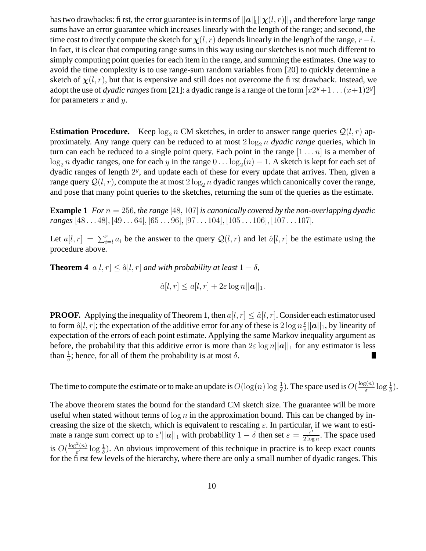has two drawbacks: first, the error guarantee is in terms of  $||a||_1||\chi(l, r)||_1$  and therefore large range sums have an error guarantee which increases linearly with the length of the range; and second, the time cost to directly compute the sketch for  $\chi(l, r)$  depends linearly in the length of the range,  $r-l$ . In fact, it is clear that computing range sums in this way using our sketches is not much different to simply computing point queries for each item in the range, and summing the estimates. One way to avoid the time complexity is to use range-sum random variables from [20] to quickly determine a sketch of  $\chi(l, r)$ , but that is expensive and still does not overcome the first drawback. Instead, we adopt the use of *dyadic ranges* from [21]: a dyadic range is a range of the form  $[x2^y+1 \dots (x+1)2^y]$ for parameters  $x$  and  $y$ .

**Estimation Procedure.** Keep  $\log_2 n$  CM sketches, in order to answer range queries  $Q(l, r)$  approximately. Any range query can be reduced to at most  $2 \log_2 n$  *dyadic range* queries, which in turn can each be reduced to a single point query. Each point in the range  $[1 \dots n]$  is a member of  $\log_2 n$  dyadic ranges, one for each y in the range  $0 \dots \log_2(n) - 1$ . A sketch is kept for each set of dyadic ranges of length  $2<sup>y</sup>$ , and update each of these for every update that arrives. Then, given a range query  $Q(l, r)$ , compute the at most  $2 \log_2 n$  dyadic ranges which canonically cover the range, and pose that many point queries to the sketches, returning the sum of the queries as the estimate.

**Example** 1 *For*  $n = 256$ *, the range* [48, 107] *is canonically covered by the non-overlapping dyadic ranges* [48 . . . 48], [49 . . . 64], [65 . . . 96], [97 . . . 104], [105 . . . 106], [107 . . . 107]*.*

Let  $a[l, r] = \sum_{i=1}^r a_i$  be the answer to the query  $\mathcal{Q}(l, r)$  and let  $\hat{a}[l, r]$  be the estimate using the procedure above.

**Theorem 4**  $a[l, r] \leq \hat{a}[l, r]$  *and with probability at least*  $1 - \delta$ *,* 

$$
\hat{a}[l,r] \le a[l,r] + 2\varepsilon \log n ||\boldsymbol{a}||_1.
$$

**PROOF.** Applying the inequality of Theorem 1, then  $a[l, r] \leq \hat{a}[l, r]$ . Consider each estimator used to form  $\hat{a}[l, r]$ ; the expectation of the additive error for any of these is  $2 \log n \frac{\varepsilon}{e}$  $\frac{\varepsilon}{e} ||\boldsymbol{a}||_1$ , by linearity of expectation of the errors of each point estimate. Applying the same Markov inequality argument as before, the probability that this additive error is more than  $2\varepsilon \log n ||a||_1$  for any estimator is less than  $\frac{1}{e}$ ; hence, for all of them the probability is at most  $\delta$ .  $\blacksquare$ 

The time to compute the estimate or to make an update is  $O(\log(n)\log\frac{1}{\delta})$ . The space used is  $O(\frac{\log(n)}{\varepsilon})$  $\frac{\xi(n)}{\varepsilon} \log \frac{1}{\delta}$ ).

The above theorem states the bound for the standard CM sketch size. The guarantee will be more useful when stated without terms of  $\log n$  in the approximation bound. This can be changed by increasing the size of the sketch, which is equivalent to rescaling  $\varepsilon$ . In particular, if we want to estimate a range sum correct up to  $\varepsilon' ||\boldsymbol{a}||_1$  with probability  $1 - \delta$  then set  $\varepsilon = \frac{\varepsilon'}{2 \log \varepsilon}$  $\frac{\varepsilon'}{2 \log n}$ . The space used is  $O(\frac{\log^2(n)}{\varepsilon'})$  $\frac{e^{2}(n)}{e'} \log \frac{1}{\delta}$ ). An obvious improvement of this technique in practice is to keep exact counts for the first few levels of the hierarchy, where there are only a small number of dyadic ranges. This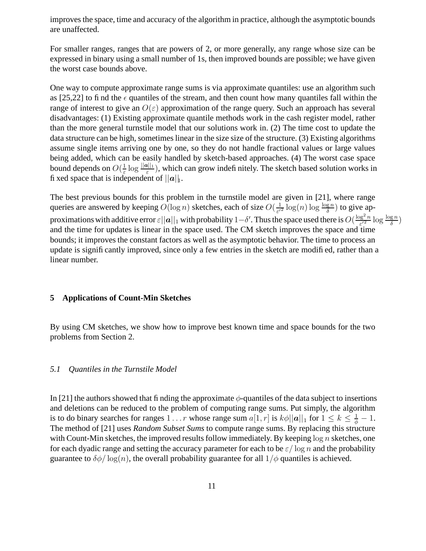improvesthe space, time and accuracy of the algorithm in practice, although the asymptotic bounds are unaffected.

For smaller ranges, ranges that are powers of 2, or more generally, any range whose size can be expressed in binary using a small number of 1s, then improved bounds are possible; we have given the worst case bounds above.

One way to compute approximate range sums is via approximate quantiles: use an algorithm such as [25,22] to find the  $\epsilon$  quantiles of the stream, and then count how many quantiles fall within the range of interest to give an  $O(\varepsilon)$  approximation of the range query. Such an approach has several disadvantages: (1) Existing approximate quantile methods work in the cash register model, rather than the more general turnstile model that our solutions work in. (2) The time cost to update the data structure can be high, sometimes linear in the size size of the structure. (3) Existing algorithms assume single items arriving one by one, so they do not handle fractional values or large values being added, which can be easily handled by sketch-based approaches. (4) The worst case space bound depends on  $O(\frac{1}{\epsilon})$  $\frac{1}{\varepsilon}$  log  $\frac{||a||_1}{\varepsilon}$ ), which can grow indefinitely. The sketch based solution works in fixed space that is independent of  $||a||_1$ .

The best previous bounds for this problem in the turnstile model are given in [21], where range queries are answered by keeping  $O(\log n)$  sketches, each of size  $O(\frac{1}{\epsilon^n})$  $\frac{1}{\varepsilon^2} \log(n) \log \frac{\log n}{\delta}$  to give approximations with additive error  $\varepsilon||a||_1$  with probability  $1-\delta'$ . Thus the space used there is  $O(\frac{\log^2 n}{\varepsilon'^2})$  $\frac{\log^2 n}{\varepsilon'^2} \log \frac{\log n}{\delta}$ and the time for updates is linear in the space used. The CM sketch improves the space and time bounds; it improves the constant factors as well as the asymptotic behavior. The time to process an update is significantly improved, since only a few entries in the sketch are modified, rather than a linear number.

# **5 Applications of Count-Min Sketches**

By using CM sketches, we show how to improve best known time and space bounds for the two problems from Section 2.

#### *5.1 Quantiles in the Turnstile Model*

In [21] the authors showed that finding the approximate  $\phi$ -quantiles of the data subject to insertions and deletions can be reduced to the problem of computing range sums. Put simply, the algorithm is to do binary searches for ranges  $1 \dots r$  whose range sum  $a[1,r]$  is  $k\phi ||\bm{a}||_1$  for  $1 \leq k \leq \frac{1}{\phi} - 1$ . The method of [21] uses *Random Subset Sums* to compute range sums. By replacing this structure with Count-Min sketches, the improved results follow immediately. By keeping  $\log n$  sketches, one for each dyadic range and setting the accuracy parameter for each to be  $\varepsilon/\log n$  and the probability guarantee to  $\delta\phi / \log(n)$ , the overall probability guarantee for all  $1/\phi$  quantiles is achieved.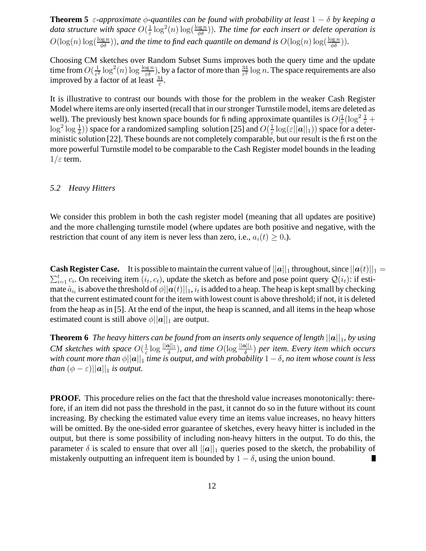**Theorem 5**  $\varepsilon$ -approximate  $\phi$ -quantiles can be found with probability at least  $1 - \delta$  by keeping a *data structure with space*  $O(\frac{1}{\epsilon})$  $\frac{1}{\varepsilon}$  log<sup>2</sup>(n) log( $\frac{\log n}{\phi\delta}$ )). The time for each insert or delete operation is  $O(\log(n) \log(\frac{\log n}{\phi \delta}))$ , and the time to find each quantile on demand is  $O(\log(n) \log(\frac{\log n}{\phi \delta}))$ .

Choosing CM sketches over Random Subset Sums improves both the query time and the update time from  $O(\frac{1}{\epsilon^2})$  $\frac{1}{\varepsilon^2}\log^2(n)\log\frac{\log n}{\varepsilon\delta}$ , by a factor of more than  $\frac{34}{\varepsilon^2}\log n$ . The space requirements are also improved by a factor of at least  $\frac{34}{\varepsilon}$ .

It is illustrative to contrast our bounds with those for the problem in the weaker Cash Register Model where items are only inserted (recall that in ourstronger Turnstile model, items are deleted as well). The previously best known space bounds for finding approximate quantiles is  $O(\frac{1}{\epsilon})$  $\frac{1}{\varepsilon}(\log^2 \frac{1}{\varepsilon} +$  $\log^2 \log \frac{1}{\delta}$ ) space for a randomized sampling solution [25] and  $O(\frac{1}{\varepsilon})$  $\frac{1}{\varepsilon} \log(\varepsilon ||\boldsymbol{a}||_1))$  space for a deterministic solution [22]. These bounds are not completely comparable, but our result is the first on the more powerful Turnstile model to be comparable to the Cash Register model bounds in the leading  $1/\varepsilon$  term.

#### *5.2 Heavy Hitters*

We consider this problem in both the cash register model (meaning that all updates are positive) and the more challenging turnstile model (where updates are both positive and negative, with the restriction that count of any item is never less than zero, i.e.,  $a_i(t) \geq 0$ .).

**Cash Register Case.** It is possible to maintain the current value of  $||a||_1$  throughout, since  $||a(t)||_1 =$  $\sum_{i=1}^t c_i$ . On receiving item  $(i_t, c_t)$ , update the sketch as before and pose point query  $\mathcal{Q}(i_t)$ : if estimate  $\hat{a}_{i_t}$  is above the threshold of  $\phi||\bm{a}(t)||_1$ ,  $i_t$  is added to a heap. The heap is kept small by checking that the current estimated count for the item with lowest count is above threshold; if not, it is deleted from the heap as in [5]. At the end of the input, the heap is scanned, and all items in the heap whose estimated count is still above  $\phi||\mathbf{a}||_1$  are output.

**Theorem 6** The heavy hitters can be found from an inserts only sequence of length  $||a||_1$ , by using *CM sketches with space*  $O(\frac{1}{\epsilon})$  $\frac{1}{\varepsilon} \log \frac{\|\mathbf{a}\|_1}{\delta}$ , and time  $O(\log \frac{\|\mathbf{a}\|_1}{\delta})$  per item. Every item which occurs *with count more than*  $\phi$ || $\mathbf{a}$ ||<sub>1</sub> *time is output, and with probability* 1 −  $\delta$ *, no item whose count is less than*  $(\phi - \varepsilon) ||\mathbf{a}||_1$  *is output.* 

**PROOF.** This procedure relies on the fact that the threshold value increases monotonically: therefore, if an item did not pass the threshold in the past, it cannot do so in the future without its count increasing. By checking the estimated value every time an items value increases, no heavy hitters will be omitted. By the one-sided error guarantee of sketches, every heavy hitter is included in the output, but there is some possibility of including non-heavy hitters in the output. To do this, the parameter  $\delta$  is scaled to ensure that over all  $||a||_1$  queries posed to the sketch, the probability of mistakenly outputting an infrequent item is bounded by  $1 - \delta$ , using the union bound.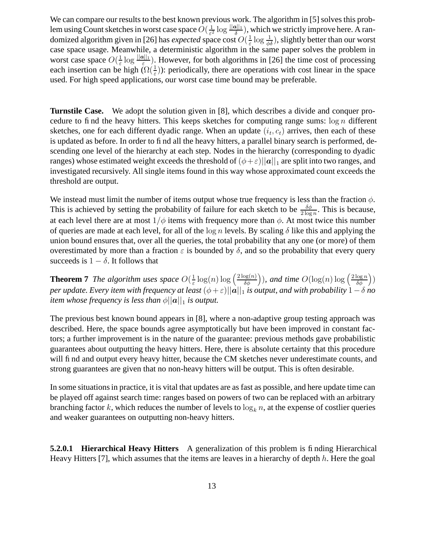We can compare our results to the best known previous work. The algorithm in [5] solves this problem using Count sketches in worst case space  $O(\frac{1}{\epsilon^2})$  $\frac{1}{\varepsilon^2}$  log  $\frac{||\boldsymbol{\alpha}||_1}{\delta}$ , which we strictly improve here. A randomized algorithm given in [26] has *expected* space cost  $O(\frac{1}{\epsilon})$  $\frac{1}{\varepsilon} \log \frac{1}{\phi \delta}$ ), slightly better than our worst case space usage. Meanwhile, a deterministic algorithm in the same paper solves the problem in worst case space  $O(\frac{1}{\epsilon})$  $\frac{1}{\varepsilon}$  log  $\frac{\|a\|_1}{\varepsilon}$ ). However, for both algorithms in [26] the time cost of processing each insertion can be high  $(\Omega(\frac{1}{\varepsilon}))$ : periodically, there are operations with cost linear in the space used. For high speed applications, our worst case time bound may be preferable.

**Turnstile Case.** We adopt the solution given in [8], which describes a divide and conquer procedure to find the heavy hitters. This keeps sketches for computing range sums:  $\log n$  different sketches, one for each different dyadic range. When an update  $(i_t, c_t)$  arrives, then each of these is updated as before. In order to find all the heavy hitters, a parallel binary search is performed, descending one level of the hierarchy at each step. Nodes in the hierarchy (corresponding to dyadic ranges) whose estimated weight exceeds the threshold of  $(\phi + \varepsilon)||\mathbf{a}||_1$  are split into two ranges, and investigated recursively. All single items found in this way whose approximated count exceeds the threshold are output.

We instead must limit the number of items output whose true frequency is less than the fraction  $\phi$ . This is achieved by setting the probability of failure for each sketch to be  $\frac{\delta \phi}{2 \log n}$ . This is because, at each level there are at most  $1/\phi$  items with frequency more than  $\phi$ . At most twice this number of queries are made at each level, for all of the  $\log n$  levels. By scaling  $\delta$  like this and applying the union bound ensures that, over all the queries, the total probability that any one (or more) of them overestimated by more than a fraction  $\varepsilon$  is bounded by  $\delta$ , and so the probability that every query succeeds is  $1 - \delta$ . It follows that

**Theorem 7** *The algorithm uses space*  $O(\frac{1}{\epsilon})$  $\frac{1}{\varepsilon} \log(n) \log \left( \frac{2 \log(n)}{\delta \phi} \right)$ δφ )*)*, and time  $O(\log(n) \log \left( \frac{2 \log n}{\delta \phi} \right))$ δφ  $)$ *per update. Every item with frequency at least* (φ+ε)||a||<sup>1</sup> *is output, and with probability* 1−δ *no item* whose frequency *is less than*  $\phi ||a||_1$  *is output.* 

The previous best known bound appears in [8], where a non-adaptive group testing approach was described. Here, the space bounds agree asymptotically but have been improved in constant factors; a further improvement is in the nature of the guarantee: previous methods gave probabilistic guarantees about outputting the heavy hitters. Here, there is absolute certainty that this procedure will find and output every heavy hitter, because the CM sketches never underestimate counts, and strong guarantees are given that no non-heavy hitters will be output. This is often desirable.

In some situationsin practice, it is vital that updates are as fast as possible, and here update time can be played off against search time: ranges based on powers of two can be replaced with an arbitrary branching factor k, which reduces the number of levels to  $\log_k n$ , at the expense of costlier queries and weaker guarantees on outputting non-heavy hitters.

**5.2.0.1 Hierarchical Heavy Hitters** A generalization of this problem is finding Hierarchical Heavy Hitters [7], which assumes that the items are leaves in a hierarchy of depth  $h$ . Here the goal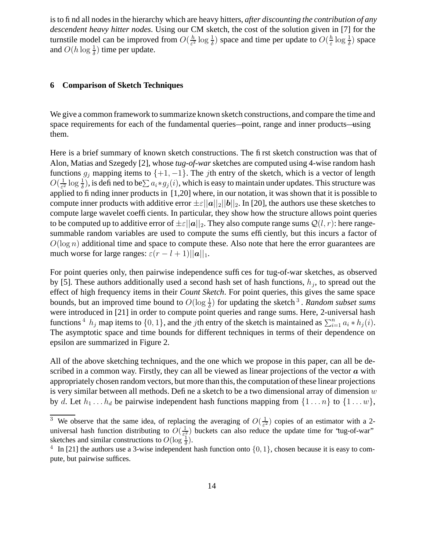isto find all nodesin the hierarchy which are heavy hitters, *after discounting the contribution of any descendent heavy hitter nodes*. Using our CM sketch, the cost of the solution given in [7] for the turnstile model can be improved from  $O(\frac{h}{\epsilon^2})$  $\frac{h}{\varepsilon^2} \log \frac{1}{\delta}$ ) space and time per update to  $O(\frac{h}{\varepsilon})$  $\frac{h}{\varepsilon} \log \frac{1}{\delta}$ ) space and  $O(h \log \frac{1}{\delta})$  time per update.

# **6 Comparison of Sketch Techniques**

We give a common framework to summarize known sketch constructions, and compare the time and space requirements for each of the fundamental queries—point, range and inner products—using them.

Here is a brief summary of known sketch constructions. The first sketch construction was that of Alon, Matias and Szegedy [2], whose *tug-of-war* sketches are computed using 4-wise random hash functions  $g_j$  mapping items to  $\{+1, -1\}$ . The *j*th entry of the sketch, which is a vector of length  $O(\frac{1}{\varepsilon^2})$  $\frac{1}{\varepsilon^2}\log\frac{1}{\delta}$ ), is defined to be $\sum a_i*g_j(i)$ , which is easy to maintain under updates. This structure was applied to finding inner products in [1,20] where, in our notation, it was shown that it is possible to compute inner products with additive error  $\pm \varepsilon ||a||_2 ||b||_2$ . In [20], the authors use these sketches to compute large wavelet coefficients. In particular, they show how the structure allows point queries to be computed up to additive error of  $\pm \varepsilon ||a||_2$ . They also compute range sums  $Q(l, r)$ : here rangesummable random variables are used to compute the sums efficiently, but this incurs a factor of  $O(\log n)$  additional time and space to compute these. Also note that here the error guarantees are much worse for large ranges:  $\varepsilon(r - l + 1)||\boldsymbol{a}||_1$ .

For point queries only, then pairwise independence suffices for tug-of-war sketches, as observed by [5]. These authors additionally used a second hash set of hash functions,  $h_j$ , to spread out the effect of high frequency items in their *Count Sketch*. For point queries, this gives the same space bounds, but an improved time bound to  $O(\log \frac{1}{\delta})$  for updating the sketch<sup>3</sup>. *Random subset sums* were introduced in [21] in order to compute point queries and range sums. Here, 2-universal hash functions <sup>4</sup>  $h_j$  map items to  $\{0, 1\}$ , and the *j*th entry of the sketch is maintained as  $\sum_{i=1}^n a_i * h_j(i)$ . The asymptotic space and time bounds for different techniques in terms of their dependence on epsilon are summarized in Figure 2.

All of the above sketching techniques, and the one which we propose in this paper, can all be described in a common way. Firstly, they can all be viewed as linear projections of the vector  $\boldsymbol{a}$  with appropriately chosen random vectors, but more than this, the computation of these linear projections is very similar between all methods. Define a sketch to be a two dimensional array of dimension  $w$ by d. Let  $h_1 \nldots h_d$  be pairwise independent hash functions mapping from  $\{1 \ldots n\}$  to  $\{1 \ldots w\}$ ,

<sup>&</sup>lt;sup>3</sup> We observe that the same idea, of replacing the averaging of  $O(\frac{1}{\epsilon^2})$  $\frac{1}{\epsilon^2}$ ) copies of an estimator with a 2universal hash function distributing to  $O(\frac{1}{\epsilon^2})$  $\frac{1}{\epsilon_1^2}$ ) buckets can also reduce the update time for 'tug-of-war' sketches and similar constructions to  $O(\log \frac{1}{\delta})$ .

<sup>&</sup>lt;sup>4</sup> In [21] the authors use a 3-wise independent hash function onto  $\{0, 1\}$ , chosen because it is easy to compute, but pairwise suffices.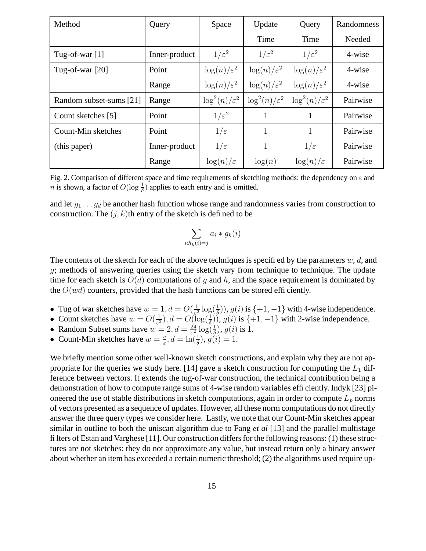| Method                  | Query         | Space                     | Update                    | Query                     | Randomness |
|-------------------------|---------------|---------------------------|---------------------------|---------------------------|------------|
|                         |               |                           | Time                      | Time                      | Needed     |
| Tug-of-war $[1]$        | Inner-product | $1/\varepsilon^2$         | $1/\varepsilon^2$         | $1/\varepsilon^2$         | 4-wise     |
| Tug-of-war $[20]$       | Point         | $\log(n)/\varepsilon^2$   | $\log(n)/\varepsilon^2$   | $\log(n)/\varepsilon^2$   | 4-wise     |
|                         | Range         | $\log(n)/\varepsilon^2$   | $\log(n)/\varepsilon^2$   | $\log(n)/\varepsilon^2$   | 4-wise     |
| Random subset-sums [21] | Range         | $\log^2(n)/\varepsilon^2$ | $\log^2(n)/\varepsilon^2$ | $\log^2(n)/\varepsilon^2$ | Pairwise   |
| Count sketches [5]      | Point         | $1/\varepsilon^2$         | $\mathbf{1}$              | 1                         | Pairwise   |
| Count-Min sketches      | Point         | $1/\varepsilon$           | 1                         | 1                         | Pairwise   |
| (this paper)            | Inner-product | $1/\varepsilon$           | 1                         | $1/\varepsilon$           | Pairwise   |
|                         | Range         | $\log(n)/\varepsilon$     | log(n)                    | $\log(n)/\varepsilon$     | Pairwise   |

Fig. 2. Comparison of different space and time requirements of sketching methods: the dependency on  $\varepsilon$  and *n* is shown, a factor of  $O(\log \frac{1}{\delta})$  applies to each entry and is omitted.

and let  $g_1 \ldots g_d$  be another hash function whose range and randomness varies from construction to construction. The  $(j, k)$ th entry of the sketch is defined to be

$$
\sum_{i:h_k(i)=j} a_i * g_k(i)
$$

The contents of the sketch for each of the above techniques is specified by the parameters  $w, d$ , and g; methods of answering queries using the sketch vary from technique to technique. The update time for each sketch is  $O(d)$  computations of g and h, and the space requirement is dominated by the  $O(wd)$  counters, provided that the hash functions can be stored efficiently.

- Tug of war sketches have  $w = 1, d = O(\frac{1}{\epsilon^2})$  $\frac{1}{\varepsilon^2} \log(\frac{1}{\delta})$  $(\frac{1}{\delta})$ ,  $g(i)$  is  $\{+1, -1\}$  with 4-wise independence.
- Count sketches have  $w = O(\frac{1}{\epsilon^2})$  $(\frac{1}{\varepsilon^2})$ ,  $d = O(\log(\frac{1}{\delta}))$ ,  $g(i)$  is  $\{+1, -1\}$  with 2-wise independence.
- Random Subset sums have  $w = 2, d = \frac{24}{52}$  $\frac{24}{\varepsilon^2} \log(\frac{1}{\delta})$  $\frac{1}{\delta}$ ),  $g(i)$  is 1.
- Count-Min sketches have  $w = \frac{e}{\epsilon}$  $\frac{e}{\varepsilon}$ ,  $d = \ln(\frac{1}{\delta}), g(i) = 1.$

We briefly mention some other well-known sketch constructions, and explain why they are not appropriate for the queries we study here. [14] gave a sketch construction for computing the  $L_1$  difference between vectors. It extends the tug-of-war construction, the technical contribution being a demonstration of how to compute range sums of 4-wise random variables efficiently. Indyk [23] pioneered the use of stable distributions in sketch computations, again in order to compute  $L_p$  norms of vectors presented as a sequence of updates. However, all these norm computations do not directly answer the three query types we consider here. Lastly, we note that our Count-Min sketches appear similar in outline to both the uniscan algorithm due to Fang *et al* [13] and the parallel multistage filters of Estan and Varghese [11]. Our construction differsfor the following reasons: (1) these structures are not sketches: they do not approximate any value, but instead return only a binary answer about whether an item has exceeded a certain numeric threshold; (2) the algorithms used require up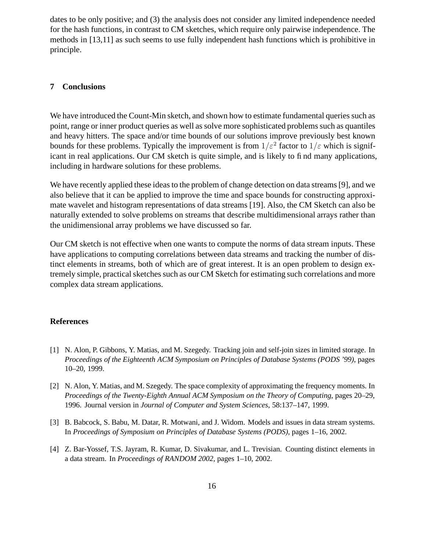dates to be only positive; and (3) the analysis does not consider any limited independence needed for the hash functions, in contrast to CM sketches, which require only pairwise independence. The methods in [13,11] as such seems to use fully independent hash functions which is prohibitive in principle.

# **7 Conclusions**

We have introduced the Count-Min sketch, and shown how to estimate fundamental queries such as point, range or inner product queries as well as solve more sophisticated problems such as quantiles and heavy hitters. The space and/or time bounds of our solutions improve previously best known bounds for these problems. Typically the improvement is from  $1/\varepsilon^2$  factor to  $1/\varepsilon$  which is significant in real applications. Our CM sketch is quite simple, and is likely to find many applications, including in hardware solutions for these problems.

We have recently applied these ideas to the problem of change detection on data streams [9], and we also believe that it can be applied to improve the time and space bounds for constructing approximate wavelet and histogram representations of data streams [19]. Also, the CM Sketch can also be naturally extended to solve problems on streams that describe multidimensional arrays rather than the unidimensional array problems we have discussed so far.

Our CM sketch is not effective when one wants to compute the norms of data stream inputs. These have applications to computing correlations between data streams and tracking the number of distinct elements in streams, both of which are of great interest. It is an open problem to design extremely simple, practical sketches such as our CM Sketch for estimating such correlations and more complex data stream applications.

# **References**

- [1] N. Alon, P. Gibbons, Y. Matias, and M. Szegedy. Tracking join and self-join sizes in limited storage. In *Proceedings of the Eighteenth ACM Symposium on Principles of Database Systems (PODS '99)*, pages 10–20, 1999.
- [2] N. Alon, Y. Matias, and M. Szegedy. The space complexity of approximating the frequency moments. In *Proceedings of the Twenty-Eighth Annual ACM Symposium on the Theory of Computing*, pages 20–29, 1996. Journal version in *Journal of Computer and System Sciences*, 58:137–147, 1999.
- [3] B. Babcock, S. Babu, M. Datar, R. Motwani, and J. Widom. Models and issues in data stream systems. In *Proceedings of Symposium on Principles of Database Systems (PODS)*, pages 1–16, 2002.
- [4] Z. Bar-Yossef, T.S. Jayram, R. Kumar, D. Sivakumar, and L. Trevisian. Counting distinct elements in a data stream. In *Proceedings of RANDOM 2002*, pages 1–10, 2002.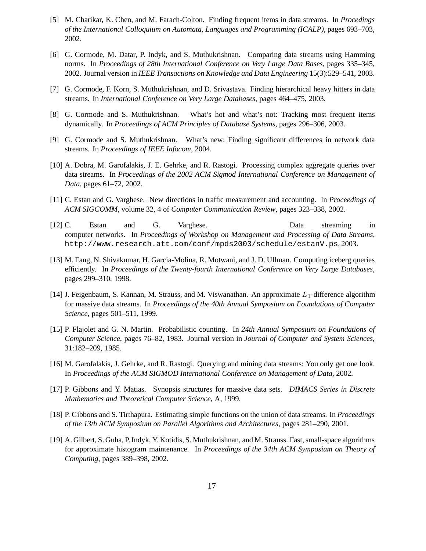- [5] M. Charikar, K. Chen, and M. Farach-Colton. Finding frequent items in data streams. In *Procedings of the International Colloquium on Automata, Languages and Programming (ICALP)*, pages 693–703, 2002.
- [6] G. Cormode, M. Datar, P. Indyk, and S. Muthukrishnan. Comparing data streams using Hamming norms. In *Proceedings of 28th International Conference on Very Large Data Bases*, pages 335–345, 2002. Journal version in *IEEE Transactions on Knowledge and Data Engineering* 15(3):529–541, 2003.
- [7] G. Cormode, F. Korn, S. Muthukrishnan, and D. Srivastava. Finding hierarchical heavy hitters in data streams. In *International Conference on Very Large Databases*, pages 464–475, 2003.
- [8] G. Cormode and S. Muthukrishnan. What's hot and what's not: Tracking most frequent items dynamically. In *Proceedings of ACM Principles of Database Systems*, pages 296–306, 2003.
- [9] G. Cormode and S. Muthukrishnan. What's new: Finding significant differences in network data streams. In *Proceedings of IEEE Infocom*, 2004.
- [10] A. Dobra, M. Garofalakis, J. E. Gehrke, and R. Rastogi. Processing complex aggregate queries over data streams. In *Proceedings of the 2002 ACM Sigmod International Conference on Management of Data*, pages 61–72, 2002.
- [11] C. Estan and G. Varghese. New directions in traffic measurement and accounting. In *Proceedings of ACM SIGCOMM*, volume 32, 4 of *Computer Communication Review*, pages 323–338, 2002.
- [12] C. Estan and G. Varghese. Data streaming in computer networks. In *Proceedings of Workshop on Management and Processing of Data Streams*, http://www.research.att.com/conf/mpds2003/schedule/estanV.ps, 2003.
- [13] M. Fang, N. Shivakumar, H. Garcia-Molina, R. Motwani, and J. D. Ullman. Computing iceberg queries efficiently. In *Proceedings of the Twenty-fourth International Conference on Very Large Databases*, pages 299–310, 1998.
- [14] J. Feigenbaum, S. Kannan, M. Strauss, and M. Viswanathan. An approximate  $L_1$ -difference algorithm for massive data streams. In *Proceedings of the 40th Annual Symposium on Foundations of Computer Science*, pages 501–511, 1999.
- [15] P. Flajolet and G. N. Martin. Probabilistic counting. In *24th Annual Symposium on Foundations of Computer Science*, pages 76–82, 1983. Journal version in *Journal of Computer and System Sciences*, 31:182–209, 1985.
- [16] M. Garofalakis, J. Gehrke, and R. Rastogi. Querying and mining data streams: You only get one look. In *Proceedings of the ACM SIGMOD International Conference on Management of Data*, 2002.
- [17] P. Gibbons and Y. Matias. Synopsis structures for massive data sets. *DIMACS Series in Discrete Mathematics and Theoretical Computer Science*, A, 1999.
- [18] P. Gibbons and S. Tirthapura. Estimating simple functions on the union of data streams. In *Proceedings of the 13th ACM Symposium on Parallel Algorithms and Architectures*, pages 281–290, 2001.
- [19] A. Gilbert, S. Guha, P.Indyk, Y. Kotidis, S. Muthukrishnan, and M. Strauss. Fast,small-space algorithms for approximate histogram maintenance. In *Proceedings of the 34th ACM Symposium on Theory of Computing*, pages 389–398, 2002.